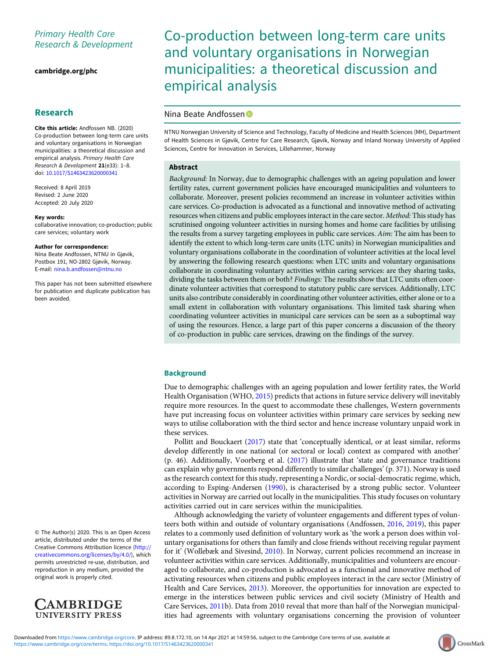# Primary Health Care Research & Development

[cambridge.org/phc](https://www.cambridge.org/phc)

# Research

Cite this article: Andfossen NB (2020) Co-production between long-term care units and voluntary organisations in Norwegian municipalities: a theoretical discussion and empirical analysis. Primary Health Care Research & Development 21(e33): 1–8. doi: [10.1017/S1463423620000341](https://doi.org/10.1017/S1463423620000341)

Received: 8 April 2019 Revised: 2 June 2020 Accepted: 20 July 2020

Key words: collaborative innovation; co-production; public care services; voluntary work

#### Author for correspondence:

Nina Beate Andfossen, NTNU in Gjøvik, Postbox 191, NO-2802 Gjøvik, Norway. E-mail: [nina.b.andfossen@ntnu.no](mailto:nina.b.andfossen@ntnu.no)

This paper has not been submitted elsewhere for publication and duplicate publication has been avoided.

© The Author(s) 2020. This is an Open Access article, distributed under the terms of the Creative Commons Attribution licence ([http://](http://creativecommons.org/licenses/by/4.0/) [creativecommons.org/licenses/by/4.0/\)](http://creativecommons.org/licenses/by/4.0/), which permits unrestricted re-use, distribution, and reproduction in any medium, provided the original work is properly cited.



# Co-production between long-term care units and voluntary organisations in Norwegian municipalities: a theoretical discussion and empirical analysis

# Nina Beate Andfossen <sup>®</sup>

NTNU Norwegian University of Science and Technology, Faculty of Medicine and Health Sciences (MH), Department of Health Sciences in Gjøvik, Centre for Care Research, Gjøvik, Norway and Inland Norway University of Applied Sciences, Centre for Innovation in Services, Lillehammer, Norway

# Abstract

Background: In Norway, due to demographic challenges with an ageing population and lower fertility rates, current government policies have encouraged municipalities and volunteers to collaborate. Moreover, present policies recommend an increase in volunteer activities within care services. Co-production is advocated as a functional and innovative method of activating resources when citizens and public employees interact in the care sector. Method: This study has scrutinised ongoing volunteer activities in nursing homes and home care facilities by utilising the results from a survey targeting employees in public care services. Aim: The aim has been to identify the extent to which long-term care units (LTC units) in Norwegian municipalities and voluntary organisations collaborate in the coordination of volunteer activities at the local level by answering the following research questions: when LTC units and voluntary organisations collaborate in coordinating voluntary activities within caring services: are they sharing tasks, dividing the tasks between them or both? Findings: The results show that LTC units often coordinate volunteer activities that correspond to statutory public care services. Additionally, LTC units also contribute considerably in coordinating other volunteer activities, either alone or to a small extent in collaboration with voluntary organisations. This limited task sharing when coordinating volunteer activities in municipal care services can be seen as a suboptimal way of using the resources. Hence, a large part of this paper concerns a discussion of the theory of co-production in public care services, drawing on the findings of the survey.

# **Background**

Due to demographic challenges with an ageing population and lower fertility rates, the World Health Organisation (WHO, [2015\)](#page-7-0) predicts that actions in future service delivery will inevitably require more resources. In the quest to accommodate these challenges, Western governments have put increasing focus on volunteer activities within primary care services by seeking new ways to utilise collaboration with the third sector and hence increase voluntary unpaid work in these services.

Pollitt and Bouckaert [\(2017\)](#page-6-0) state that 'conceptually identical, or at least similar, reforms develop differently in one national (or sectoral or local) context as compared with another' (p. 46). Additionally, Voorberg et al. ([2017\)](#page-7-0) illustrate that 'state and governance traditions can explain why governments respond differently to similar challenges' (p. 371). Norway is used as the research context for this study, representing a Nordic, or social-democratic regime, which, according to Esping-Andersen ([1990](#page-6-0)), is characterised by a strong public sector. Volunteer activities in Norway are carried out locally in the municipalities. This study focuses on voluntary activities carried out in care services within the municipalities.

Although acknowledging the variety of volunteer engagements and different types of volunteers both within and outside of voluntary organisations (Andfossen, [2016,](#page-6-0) [2019](#page-6-0)), this paper relates to a commonly used definition of voluntary work as 'the work a person does within voluntary organisations for others than family and close friends without receiving regular payment for it' (Wollebæk and Sivesind, [2010\)](#page-7-0). In Norway, current policies recommend an increase in volunteer activities within care services. Additionally, municipalities and volunteers are encouraged to collaborate, and co-production is advocated as a functional and innovative method of activating resources when citizens and public employees interact in the care sector (Ministry of Health and Care Services, [2013](#page-6-0)). Moreover, the opportunities for innovation are expected to emerge in the interstices between public services and civil society (Ministry of Health and Care Services, [2011b](#page-6-0)). Data from 2010 reveal that more than half of the Norwegian municipalities had agreements with voluntary organisations concerning the provision of volunteer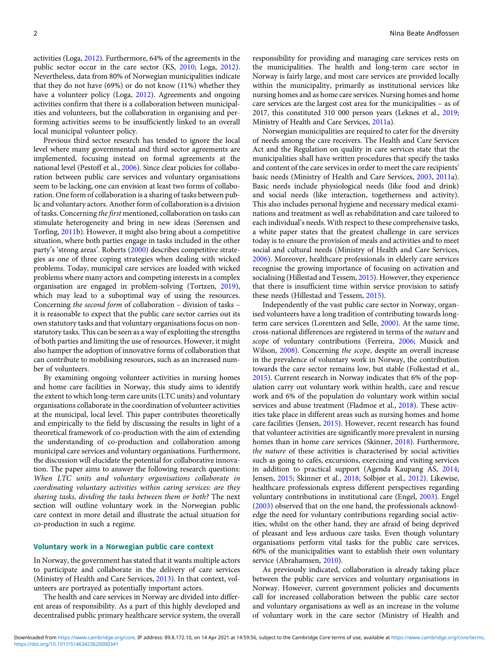activities (Loga, [2012\)](#page-6-0). Furthermore, 64% of the agreements in the public sector occur in the care sector (KS, [2010;](#page-6-0) Loga, [2012](#page-6-0)). Nevertheless, data from 80% of Norwegian municipalities indicate that they do not have (69%) or do not know (11%) whether they have a volunteer policy (Loga, [2012\)](#page-6-0). Agreements and ongoing activities confirm that there is a collaboration between municipalities and volunteers, but the collaboration in organising and performing activities seems to be insufficiently linked to an overall local municipal volunteer policy.

Previous third sector research has tended to ignore the local level where many governmental and third sector agreements are implemented, focusing instead on formal agreements at the national level (Pestoff et al., [2006\)](#page-6-0). Since clear policies for collaboration between public care services and voluntary organisations seem to be lacking, one can envision at least two forms of collaboration. One form of collaboration is a sharing of tasks between public and voluntary actors. Another form of collaboration is a division of tasks. Concerning the first mentioned, collaboration on tasks can stimulate heterogeneity and bring in new ideas (Sørensen and Torfing, [2011b](#page-6-0)). However, it might also bring about a competitive situation, where both parties engage in tasks included in the other party's 'strong areas'. Roberts ([2000\)](#page-6-0) describes competitive strategies as one of three coping strategies when dealing with wicked problems. Today, municipal care services are loaded with wicked problems where many actors and competing interests in a complex organisation are engaged in problem-solving (Tortzen, [2019](#page-7-0)), which may lead to a suboptimal way of using the resources. Concerning the second form of collaboration – division of tasks – it is reasonable to expect that the public care sector carries out its own statutory tasks and that voluntary organisations focus on nonstatutory tasks. This can be seen as a way of exploiting the strengths of both parties and limiting the use of resources. However, it might also hamper the adoption of innovative forms of collaboration that can contribute to mobilising resources, such as an increased number of volunteers.

By examining ongoing volunteer activities in nursing homes and home care facilities in Norway, this study aims to identify the extent to which long-term care units (LTC units) and voluntary organisations collaborate in the coordination of volunteer activities at the municipal, local level. This paper contributes theoretically and empirically to the field by discussing the results in light of a theoretical framework of co-production with the aim of extending the understanding of co-production and collaboration among municipal care services and voluntary organisations. Furthermore, the discussion will elucidate the potential for collaborative innovation. The paper aims to answer the following research questions: When LTC units and voluntary organisations collaborate in coordinating voluntary activities within caring services: are they sharing tasks, dividing the tasks between them or both? The next section will outline voluntary work in the Norwegian public care context in more detail and illustrate the actual situation for co-production in such a regime.

# Voluntary work in a Norwegian public care context

In Norway, the government has stated that it wants multiple actors to participate and collaborate in the delivery of care services (Ministry of Health and Care Services, [2013](#page-6-0)). In that context, volunteers are portrayed as potentially important actors.

The health and care services in Norway are divided into different areas of responsibility. As a part of this highly developed and decentralised public primary healthcare service system, the overall responsibility for providing and managing care services rests on the municipalities. The health and long-term care sector in Norway is fairly large, and most care services are provided locally within the municipality, primarily as institutional services like nursing homes and as home care services. Nursing homes and home care services are the largest cost area for the municipalities – as of 2017, this constituted 310 000 person years (Leknes et al., [2019](#page-6-0); Ministry of Health and Care Services, [2011a](#page-6-0)).

Norwegian municipalities are required to cater for the diversity of needs among the care receivers. The Health and Care Services Act and the Regulation on quality in care services state that the municipalities shall have written procedures that specify the tasks and content of the care services in order to meet the care recipients' basic needs (Ministry of Health and Care Services, [2003,](#page-6-0) [2011a](#page-6-0)). Basic needs include physiological needs (like food and drink) and social needs (like interaction, togetherness and activity). This also includes personal hygiene and necessary medical examinations and treatment as well as rehabilitation and care tailored to each individual's needs. With respect to these comprehensive tasks, a white paper states that the greatest challenge in care services today is to ensure the provision of meals and activities and to meet social and cultural needs (Ministry of Health and Care Services, [2006\)](#page-6-0). Moreover, healthcare professionals in elderly care services recognise the growing importance of focusing on activation and socialising (Hillestad and Tessem, [2015](#page-6-0)). However, they experience that there is insufficient time within service provision to satisfy these needs (Hillestad and Tessem, [2015\)](#page-6-0).

Independently of the vast public care sector in Norway, organised volunteers have a long tradition of contributing towards longterm care services (Lorentzen and Selle, [2000](#page-6-0)). At the same time, cross-national differences are registered in terms of the nature and scope of voluntary contributions (Ferreira, [2006;](#page-6-0) Musick and Wilson, [2008\)](#page-6-0). Concerning the scope, despite an overall increase in the prevalence of voluntary work in Norway, the contribution towards the care sector remains low, but stable (Folkestad et al., [2015\)](#page-6-0). Current research in Norway indicates that 6% of the population carry out voluntary work within health, care and rescue work and 6% of the population do voluntary work within social services and abuse treatment (Fladmoe et al., [2018\)](#page-6-0). These activities take place in different areas such as nursing homes and home care facilities (Jensen, [2015\)](#page-6-0). However, recent research has found that volunteer activities are significantly more prevalent in nursing homes than in home care services (Skinner, [2018](#page-6-0)). Furthermore, the nature of these activities is characterised by social activities such as going to cafés, excursions, exercising and visiting services in addition to practical support (Agenda Kaupang AS, [2014](#page-6-0); Jensen, [2015;](#page-6-0) Skinner et al., [2018;](#page-6-0) Solbjør et al., [2012](#page-6-0)). Likewise, healthcare professionals express different perspectives regarding voluntary contributions in institutional care (Engel, [2003\)](#page-6-0). Engel ([2003\)](#page-6-0) observed that on the one hand, the professionals acknowledge the need for voluntary contributions regarding social activities, whilst on the other hand, they are afraid of being deprived of pleasant and less arduous care tasks. Even though voluntary organisations perform vital tasks for the public care services, 60% of the municipalities want to establish their own voluntary service (Abrahamsen, [2010\)](#page-6-0).

As previously indicated, collaboration is already taking place between the public care services and voluntary organisations in Norway. However, current government policies and documents call for increased collaboration between the public care sector and voluntary organisations as well as an increase in the volume of voluntary work in the care sector (Ministry of Health and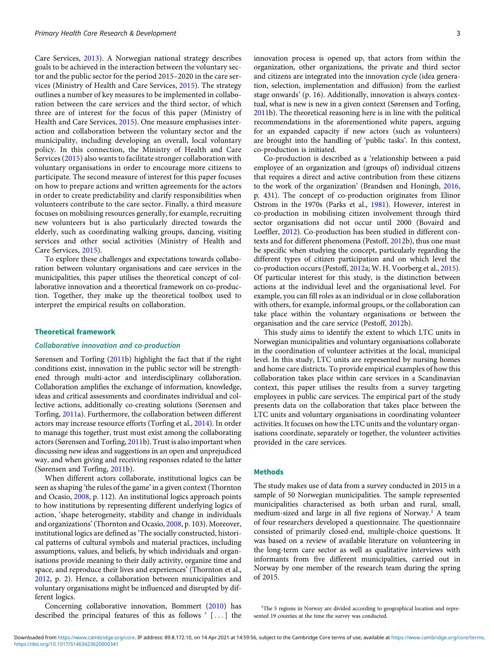Care Services, [2013\)](#page-6-0). A Norwegian national strategy describes goals to be achieved in the interaction between the voluntary sector and the public sector for the period 2015–2020 in the care services (Ministry of Health and Care Services, [2015\)](#page-6-0). The strategy outlines a number of key measures to be implemented in collaboration between the care services and the third sector, of which three are of interest for the focus of this paper (Ministry of Health and Care Services, [2015\)](#page-6-0). One measure emphasises interaction and collaboration between the voluntary sector and the municipality, including developing an overall, local voluntary policy. In this connection, the Ministry of Health and Care Services ([2015\)](#page-6-0) also wants to facilitate stronger collaboration with voluntary organisations in order to encourage more citizens to participate. The second measure of interest for this paper focuses on how to prepare actions and written agreements for the actors in order to create predictability and clarify responsibilities when volunteers contribute to the care sector. Finally, a third measure focuses on mobilising resources generally, for example, recruiting new volunteers but is also particularly directed towards the elderly, such as coordinating walking groups, dancing, visiting services and other social activities (Ministry of Health and Care Services, [2015\)](#page-6-0).

To explore these challenges and expectations towards collaboration between voluntary organisations and care services in the municipalities, this paper utilises the theoretical concept of collaborative innovation and a theoretical framework on co-production. Together, they make up the theoretical toolbox used to interpret the empirical results on collaboration.

# Theoretical framework

# Collaborative innovation and co-production

Sørensen and Torfing [\(2011b](#page-6-0)) highlight the fact that if the right conditions exist, innovation in the public sector will be strengthened through multi-actor and interdisciplinary collaboration. Collaboration amplifies the exchange of information, knowledge, ideas and critical assessments and coordinates individual and collective actions, additionally co-creating solutions (Sørensen and Torfing, [2011](#page-6-0)a). Furthermore, the collaboration between different actors may increase resource efforts (Torfing et al., [2014](#page-6-0)). In order to manage this together, trust must exist among the collaborating actors (Sørensen and Torfing, [2011](#page-6-0)b). Trust is also important when discussing new ideas and suggestions in an open and unprejudiced way, and when giving and receiving responses related to the latter (Sørensen and Torfing, [2011b](#page-6-0)).

When different actors collaborate, institutional logics can be seen as shaping 'the rules of the game' in a given context (Thornton and Ocasio, [2008](#page-6-0), p. 112). An institutional logics approach points to how institutions by representing different underlying logics of action, 'shape heterogeneity, stability and change in individuals and organizations'(Thornton and Ocasio, [2008,](#page-6-0) p. 103). Moreover, institutional logics are defined as 'The socially constructed, historical patterns of cultural symbols and material practices, including assumptions, values, and beliefs, by which individuals and organisations provide meaning to their daily activity, organize time and space, and reproduce their lives and experiences' (Thornton et al., [2012](#page-6-0), p. 2). Hence, a collaboration between municipalities and voluntary organisations might be influenced and disrupted by different logics.

Concerning collaborative innovation, Bommert [\(2010\)](#page-6-0) has described the principal features of this as follows  $\lceil \ldots \rceil$  the

innovation process is opened up, that actors from within the organization, other organizations, the private and third sector and citizens are integrated into the innovation cycle (idea generation, selection, implementation and diffusion) from the earliest stage onwards' (p. 16). Additionally, innovation is always contextual, what is new is new in a given context (Sørensen and Torfing, [2011](#page-6-0)b). The theoretical reasoning here is in line with the political recommendations in the aforementioned white papers, arguing for an expanded capacity if new actors (such as volunteers)

Co-production is described as a 'relationship between a paid employee of an organization and (groups of) individual citizens that requires a direct and active contribution from these citizens to the work of the organization' (Brandsen and Honingh, [2016,](#page-6-0) p. 431). The concept of co-production originates from Elinor Ostrom in the 1970s (Parks et al., [1981](#page-6-0)). However, interest in co-production in mobilising citizen involvement through third sector organisations did not occur until 2000 (Bovaird and Loeffler, [2012](#page-6-0)). Co-production has been studied in different contexts and for different phenomena (Pestoff, [2012](#page-6-0)b), thus one must be specific when studying the concept, particularly regarding the different types of citizen participation and on which level the co-production occurs (Pestoff, [2012a](#page-6-0); W. H. Voorberg et al., [2015\)](#page-7-0). Of particular interest for this study, is the distinction between actions at the individual level and the organisational level. For example, you can fill roles as an individual or in close collaboration with others, for example, informal groups, or the collaboration can take place within the voluntary organisations or between the organisation and the care service (Pestoff, [2012](#page-6-0)b).

are brought into the handling of 'public tasks'. In this context,

co-production is initiated.

This study aims to identify the extent to which LTC units in Norwegian municipalities and voluntary organisations collaborate in the coordination of volunteer activities at the local, municipal level. In this study, LTC units are represented by nursing homes and home care districts. To provide empirical examples of how this collaboration takes place within care services in a Scandinavian context, this paper utilises the results from a survey targeting employees in public care services. The empirical part of the study presents data on the collaboration that takes place between the LTC units and voluntary organisations in coordinating volunteer activities. It focuses on how the LTC units and the voluntary organisations coordinate, separately or together, the volunteer activities provided in the care services.

#### Methods

The study makes use of data from a survey conducted in 2015 in a sample of 50 Norwegian municipalities. The sample represented municipalities characterised as both urban and rural, small, medium-sized and large in all five regions of Norway.<sup>1</sup> A team of four researchers developed a questionnaire. The questionnaire consisted of primarily closed-end, multiple-choice questions. It was based on a review of available literature on volunteering in the long-term care sector as well as qualitative interviews with informants from five different municipalities, carried out in Norway by one member of the research team during the spring of 2015.

<sup>1</sup>The 5 regions in Norway are divided according to geographical location and represented 19 counties at the time the survey was conducted.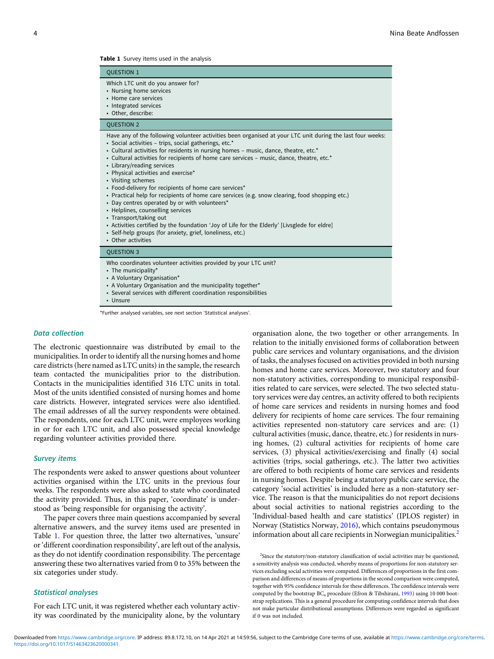## Table 1 Survey items used in the analysis

| <b>QUESTION 1</b>                                                                                                                                                                                                                                                                                                                                                                                            |                                                                                                                                                                                                                                                                                                                                                                                                                                                                                                  |
|--------------------------------------------------------------------------------------------------------------------------------------------------------------------------------------------------------------------------------------------------------------------------------------------------------------------------------------------------------------------------------------------------------------|--------------------------------------------------------------------------------------------------------------------------------------------------------------------------------------------------------------------------------------------------------------------------------------------------------------------------------------------------------------------------------------------------------------------------------------------------------------------------------------------------|
| Which LTC unit do you answer for?<br>• Nursing home services<br>• Home care services<br>• Integrated services<br>• Other, describe:                                                                                                                                                                                                                                                                          |                                                                                                                                                                                                                                                                                                                                                                                                                                                                                                  |
| <b>QUESTION 2</b>                                                                                                                                                                                                                                                                                                                                                                                            |                                                                                                                                                                                                                                                                                                                                                                                                                                                                                                  |
| • Social activities - trips, social gatherings, etc.*<br>• Library/reading services<br>• Physical activities and exercise*<br>• Visiting schemes<br>• Food-delivery for recipients of home care services*<br>• Day centres operated by or with volunteers*<br>• Helplines, counselling services<br>• Transport/taking out<br>· Self-help groups (for anxiety, grief, loneliness, etc.)<br>• Other activities | Have any of the following volunteer activities been organised at your LTC unit during the last four weeks:<br>• Cultural activities for residents in nursing homes - music, dance, theatre, etc.*<br>• Cultural activities for recipients of home care services - music, dance, theatre, etc.*<br>. Practical help for recipients of home care services (e.g. snow clearing, food shopping etc.)<br>• Activities certified by the foundation 'Joy of Life for the Elderly' [Livsglede for eldre] |
| <b>QUESTION 3</b>                                                                                                                                                                                                                                                                                                                                                                                            |                                                                                                                                                                                                                                                                                                                                                                                                                                                                                                  |
| Who coordinates volunteer activities provided by your LTC unit?<br>• The municipality*<br>• A Voluntary Organisation*<br>• A Voluntary Organisation and the municipality together*<br>• Several services with different coordination responsibilities<br>• Unsure                                                                                                                                            |                                                                                                                                                                                                                                                                                                                                                                                                                                                                                                  |

# Data collection

The electronic questionnaire was distributed by email to the municipalities. In order to identify all the nursing homes and home care districts (here named as LTC units) in the sample, the research team contacted the municipalities prior to the distribution. Contacts in the municipalities identified 316 LTC units in total. Most of the units identified consisted of nursing homes and home care districts. However, integrated services were also identified. The email addresses of all the survey respondents were obtained. The respondents, one for each LTC unit, were employees working in or for each LTC unit, and also possessed special knowledge regarding volunteer activities provided there.

#### Survey items

The respondents were asked to answer questions about volunteer activities organised within the LTC units in the previous four weeks. The respondents were also asked to state who coordinated the activity provided. Thus, in this paper, 'coordinate' is understood as 'being responsible for organising the activity'.

The paper covers three main questions accompanied by several alternative answers, and the survey items used are presented in Table 1. For question three, the latter two alternatives, 'unsure' or'different coordination responsibility', are left out of the analysis, as they do not identify coordination responsibility. The percentage answering these two alternatives varied from 0 to 35% between the six categories under study.

#### Statistical analyses

For each LTC unit, it was registered whether each voluntary activity was coordinated by the municipality alone, by the voluntary organisation alone, the two together or other arrangements. In relation to the initially envisioned forms of collaboration between public care services and voluntary organisations, and the division of tasks, the analyses focused on activities provided in both nursing homes and home care services. Moreover, two statutory and four non-statutory activities, corresponding to municipal responsibilities related to care services, were selected. The two selected statutory services were day centres, an activity offered to both recipients of home care services and residents in nursing homes and food delivery for recipients of home care services. The four remaining activities represented non-statutory care services and are: (1) cultural activities (music, dance, theatre, etc.) for residents in nursing homes, (2) cultural activities for recipients of home care services, (3) physical activities/exercising and finally (4) social activities (trips, social gatherings, etc.). The latter two activities are offered to both recipients of home care services and residents in nursing homes. Despite being a statutory public care service, the category 'social activities' is included here as a non-statutory service. The reason is that the municipalities do not report decisions about social activities to national registries according to the 'Individual-based health and care statistics' (IPLOS register) in Norway (Statistics Norway, [2016\)](#page-6-0), which contains pseudonymous information about all care recipients in Norwegian municipalities.<sup>2</sup>

<sup>2</sup>Since the statutory/non-statutory classification of social activities may be questioned, a sensitivity analysis was conducted, whereby means of proportions for non-statutory services excluding social activities were computed. Differences of proportions in the first comparison and differences of means of proportions in the second comparison were computed, together with 95% confidence intervals for these differences. The confidence intervals were computed by the bootstrap BC<sub>a</sub> procedure (Efron & Tibshirani, [1993](#page-6-0)) using 10 000 bootstrap replications. This is a general procedure for computing confidence intervals that does not make particular distributional assumptions. Differences were regarded as significant if 0 was not included.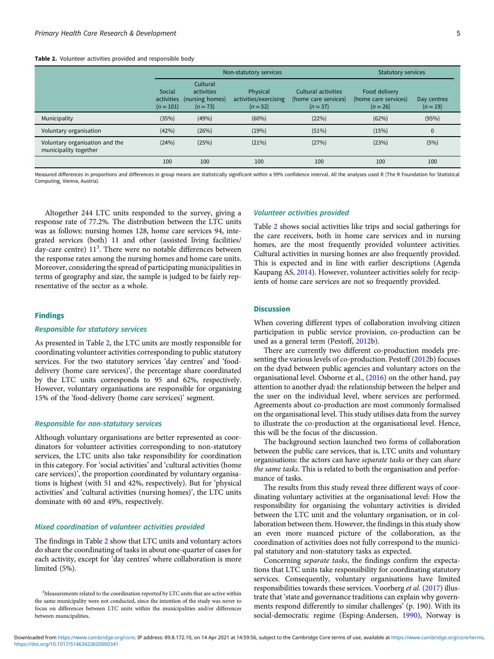#### Table 2. Volunteer activities provided and responsible body

|                                                         |                                     |                                                       | Non-statutory services                          | <b>Statutory services</b>                               |                                                     |                           |
|---------------------------------------------------------|-------------------------------------|-------------------------------------------------------|-------------------------------------------------|---------------------------------------------------------|-----------------------------------------------------|---------------------------|
|                                                         | Social<br>activities<br>$(n = 101)$ | Cultural<br>activities<br>(nursing homes)<br>$(n=73)$ | Physical<br>activities/exercising<br>$(n = 52)$ | Cultural activities<br>(home care services)<br>$(n=37)$ | Food delivery<br>(home care services)<br>$(n = 26)$ | Day centres<br>$(n = 19)$ |
| Municipality                                            | (35%)                               | (49%)                                                 | (60%)                                           | (22%)                                                   | (62%)                                               | (95%)                     |
| Voluntary organisation                                  | (42%)                               | (26%)                                                 | (19%)                                           | (51%)                                                   | (15%)                                               | $\mathbf{0}$              |
| Voluntary organisation and the<br>municipality together | (24%)                               | (25%)                                                 | (21%)                                           | (27%)                                                   | (23%)                                               | (5%)                      |
|                                                         | 100                                 | 100                                                   | 100                                             | 100                                                     | 100                                                 | 100                       |

Measured differences in proportions and differences in group means are statistically significant within a 99% confidence interval. All the analyses used R (The R Foundation for Statistically Computing, Vienna, Austria).

Altogether 244 LTC units responded to the survey, giving a response rate of 77.2%. The distribution between the LTC units was as follows: nursing homes 128, home care services 94, integrated services (both) 11 and other (assisted living facilities/ day-care centre)  $11<sup>3</sup>$ . There were no notable differences between the response rates among the nursing homes and home care units. Moreover, considering the spread of participating municipalities in terms of geography and size, the sample is judged to be fairly representative of the sector as a whole.

## Findings

# Responsible for statutory services

As presented in Table 2, the LTC units are mostly responsible for coordinating volunteer activities corresponding to public statutory services. For the two statutory services 'day centres' and 'fooddelivery (home care services)', the percentage share coordinated by the LTC units corresponds to 95 and 62%, respectively. However, voluntary organisations are responsible for organising 15% of the 'food-delivery (home care services)' segment.

#### Responsible for non-statutory services

Although voluntary organisations are better represented as coordinators for volunteer activities corresponding to non-statutory services, the LTC units also take responsibility for coordination in this category. For 'social activities' and 'cultural activities (home care services)', the proportion coordinated by voluntary organisations is highest (with 51 and 42%, respectively). But for 'physical activities' and 'cultural activities (nursing homes)', the LTC units dominate with 60 and 49%, respectively.

# Mixed coordination of volunteer activities provided

The findings in Table 2 show that LTC units and voluntary actors do share the coordinating of tasks in about one-quarter of cases for each activity, except for 'day centres' where collaboration is more limited (5%).

## Volunteer activities provided

Table 2 shows social activities like trips and social gatherings for the care receivers, both in home care services and in nursing homes, are the most frequently provided volunteer activities. Cultural activities in nursing homes are also frequently provided. This is expected and in line with earlier descriptions (Agenda Kaupang AS, [2014](#page-6-0)). However, volunteer activities solely for recipients of home care services are not so frequently provided.

# Discussion

When covering different types of collaboration involving citizen participation in public service provision, co-production can be used as a general term (Pestoff, [2012](#page-6-0)b).

There are currently two different co-production models presenting the various levels of co-production. Pestoff ([2012b](#page-6-0)) focuses on the dyad between public agencies and voluntary actors on the organisational level. Osborne et al., ([2016\)](#page-6-0) on the other hand, pay attention to another dyad: the relationship between the helper and the user on the individual level, where services are performed. Agreements about co-production are most commonly formalised on the organisational level. This study utilises data from the survey to illustrate the co-production at the organisational level. Hence, this will be the focus of the discussion.

The background section launched two forms of collaboration between the public care services, that is, LTC units and voluntary organisations: the actors can have separate tasks or they can share the same tasks. This is related to both the organisation and performance of tasks.

The results from this study reveal three different ways of coordinating voluntary activities at the organisational level: How the responsibility for organising the voluntary activities is divided between the LTC unit and the voluntary organisation, or in collaboration between them. However, the findings in this study show an even more nuanced picture of the collaboration, as the coordination of activities does not fully correspond to the municipal statutory and non-statutory tasks as expected.

Concerning separate tasks, the findings confirm the expectations that LTC units take responsibility for coordinating statutory services. Consequently, voluntary organisations have limited responsibilities towards these services. Voorberg et al. [\(2017\)](#page-7-0) illustrate that 'state and governance traditions can explain why governments respond differently to similar challenges' (p. 190). With its social-democratic regime (Esping-Andersen, [1990](#page-6-0)), Norway is

<sup>&</sup>lt;sup>3</sup>Measurements related to the coordination reported by LTC units that are active within the same municipality were not conducted, since the intention of the study was never to focus on differences between LTC units within the municipalities and/or differences between municipalities.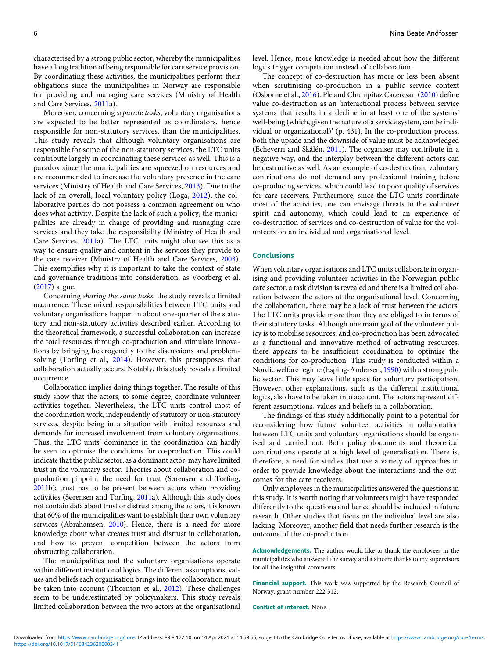characterised by a strong public sector, whereby the municipalities have a long tradition of being responsible for care service provision. By coordinating these activities, the municipalities perform their obligations since the municipalities in Norway are responsible for providing and managing care services (Ministry of Health and Care Services, [2011a](#page-6-0)).

Moreover, concerning separate tasks, voluntary organisations are expected to be better represented as coordinators, hence responsible for non-statutory services, than the municipalities. This study reveals that although voluntary organisations are responsible for some of the non-statutory services, the LTC units contribute largely in coordinating these services as well. This is a paradox since the municipalities are squeezed on resources and are recommended to increase the voluntary presence in the care services (Ministry of Health and Care Services, [2013](#page-6-0)). Due to the lack of an overall, local voluntary policy (Loga, [2012](#page-6-0)), the collaborative parties do not possess a common agreement on who does what activity. Despite the lack of such a policy, the municipalities are already in charge of providing and managing care services and they take the responsibility (Ministry of Health and Care Services, [2011](#page-6-0)a). The LTC units might also see this as a way to ensure quality and content in the services they provide to the care receiver (Ministry of Health and Care Services, [2003](#page-6-0)). This exemplifies why it is important to take the context of state and governance traditions into consideration, as Voorberg et al. ([2017\)](#page-7-0) argue.

Concerning sharing the same tasks, the study reveals a limited occurrence. These mixed responsibilities between LTC units and voluntary organisations happen in about one-quarter of the statutory and non-statutory activities described earlier. According to the theoretical framework, a successful collaboration can increase the total resources through co-production and stimulate innovations by bringing heterogeneity to the discussions and problemsolving (Torfing et al., [2014\)](#page-6-0). However, this presupposes that collaboration actually occurs. Notably, this study reveals a limited occurrence.

Collaboration implies doing things together. The results of this study show that the actors, to some degree, coordinate volunteer activities together. Nevertheless, the LTC units control most of the coordination work, independently of statutory or non-statutory services, despite being in a situation with limited resources and demands for increased involvement from voluntary organisations. Thus, the LTC units' dominance in the coordination can hardly be seen to optimise the conditions for co-production. This could indicate that the public sector, as a dominant actor, may have limited trust in the voluntary sector. Theories about collaboration and coproduction pinpoint the need for trust (Sørensen and Torfing, [2011](#page-6-0)b); trust has to be present between actors when providing activities (Sørensen and Torfing, [2011](#page-6-0)a). Although this study does not contain data about trust or distrust among the actors, it is known that 60% of the municipalities want to establish their own voluntary services (Abrahamsen, [2010\)](#page-6-0). Hence, there is a need for more knowledge about what creates trust and distrust in collaboration, and how to prevent competition between the actors from obstructing collaboration.

The municipalities and the voluntary organisations operate within different institutional logics. The different assumptions, values and beliefs each organisation brings into the collaboration must be taken into account (Thornton et al., [2012\)](#page-6-0). These challenges seem to be underestimated by policymakers. This study reveals limited collaboration between the two actors at the organisational

level. Hence, more knowledge is needed about how the different logics trigger competition instead of collaboration.

The concept of co-destruction has more or less been absent when scrutinising co-production in a public service context (Osborne et al., [2016\)](#page-6-0). Plé and Chumpitaz Cáceresan ([2010](#page-6-0)) define value co-destruction as an 'interactional process between service systems that results in a decline in at least one of the systems' well-being (which, given the nature of a service system, can be individual or organizational)' (p. 431). In the co-production process, both the upside and the downside of value must be acknowledged (Echeverri and Skålén, [2011](#page-6-0)). The organiser may contribute in a negative way, and the interplay between the different actors can be destructive as well. As an example of co-destruction, voluntary contributions do not demand any professional training before co-producing services, which could lead to poor quality of services for care receivers. Furthermore, since the LTC units coordinate most of the activities, one can envisage threats to the volunteer spirit and autonomy, which could lead to an experience of co-destruction of services and co-destruction of value for the volunteers on an individual and organisational level.

# Conclusions

When voluntary organisations and LTC units collaborate in organising and providing volunteer activities in the Norwegian public care sector, a task division is revealed and there is a limited collaboration between the actors at the organisational level. Concerning the collaboration, there may be a lack of trust between the actors. The LTC units provide more than they are obliged to in terms of their statutory tasks. Although one main goal of the volunteer policy is to mobilise resources, and co-production has been advocated as a functional and innovative method of activating resources, there appears to be insufficient coordination to optimise the conditions for co-production. This study is conducted within a Nordic welfare regime (Esping-Andersen, [1990](#page-6-0)) with a strong public sector. This may leave little space for voluntary participation. However, other explanations, such as the different institutional logics, also have to be taken into account. The actors represent different assumptions, values and beliefs in a collaboration.

The findings of this study additionally point to a potential for reconsidering how future volunteer activities in collaboration between LTC units and voluntary organisations should be organised and carried out. Both policy documents and theoretical contributions operate at a high level of generalisation. There is, therefore, a need for studies that use a variety of approaches in order to provide knowledge about the interactions and the outcomes for the care receivers.

Only employees in the municipalities answered the questions in this study. It is worth noting that volunteers might have responded differently to the questions and hence should be included in future research. Other studies that focus on the individual level are also lacking. Moreover, another field that needs further research is the outcome of the co-production.

Acknowledgements. The author would like to thank the employees in the municipalities who answered the survey and a sincere thanks to my supervisors for all the insightful comments.

Financial support. This work was supported by the Research Council of Norway, grant number 222 312.

Conflict of interest. None.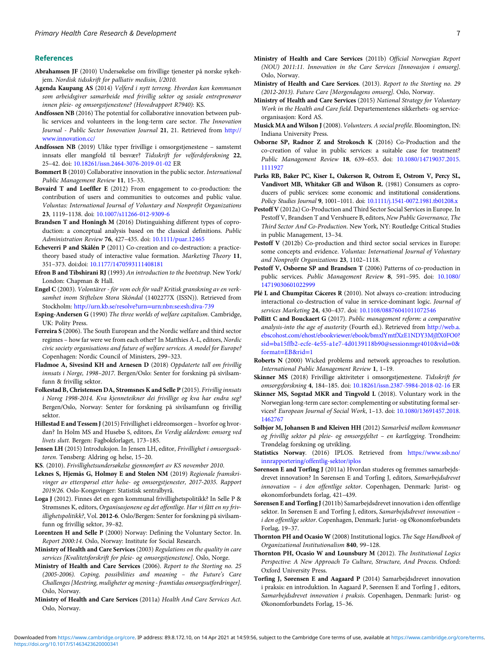#### <span id="page-6-0"></span>References

- Abrahamsen JF (2010) Undersøkelse om frivillige tjenester på norske sykehjem. Nordisk tidsskrift for palliativ medisin, l/2010.
- Agenda Kaupang AS (2014) Velferd i nytt terreng. Hvordan kan kommunen som arbeidsgiver samarbeide med frivillig sektor og sosiale entreprenører innen pleie- og omsorgstjenestene? (Hovedrapport R7940): KS.
- Andfossen NB (2016) The potential for collaborative innovation between public services and volunteers in the long-term care sector. The Innovation Journal - Public Sector Innovation Journal 21, 21. Retrieved from [http://](http://www.innovation.cc/) [www.innovation.cc/](http://www.innovation.cc/)
- Andfossen NB (2019) Ulike typer frivillige i omsorgstjenestene samstemt innsats eller mangfold til besvær? Tidsskrift for velferdsforskning 22, 25–42. doi: [10.18261/issn.2464-3076-2019-01-02](https://doi.org/10.18261/issn.2464-3076-2019-01-02) ER
- Bommert B (2010) Collaborative innovation in the public sector. International Public Management Review 11, 15–33.
- Bovaird T and Loeffler E (2012) From engagement to co-production: the contribution of users and communities to outcomes and public value. Voluntas: International Journal of Voluntary and Nonprofit Organizations 23, 1119–1138. doi: [10.1007/s11266-012-9309-6](https://doi.org/10.1007/s11266-012-9309-6)
- Brandsen T and Honingh M (2016) Distinguishing different types of coproduction: a conceptual analysis based on the classical definitions. Public Administration Review 76, 427–435. doi: [10.1111/puar.12465](https://doi.org/10.1111/puar.12465)
- Echeverri P and Skålén P (2011) Co-creation and co-destruction: a practicetheory based study of interactive value formation. Marketing Theory 11, 351–373. doi:doi: [10.1177/1470593111408181](https://doi.org/10.1177/1470593111408181)
- Efron B and Tibshirani RJ (1993) An introduction to the bootstrap. New York/ London: Chapman & Hall.
- Engel C (2003). Volontärer för vem och för vad? Kritisk granskning av en verksamhet inom Stiftelsen Stora Sköndal (1402277X (ISSN)). Retrieved from Stockholm: [http://urn.kb.se/resolve?urn](http://urn.kb.se/resolve?urn=urn:nbn:se:esh:diva-739)=[urn:nbn:se:esh:diva-739](http://urn.kb.se/resolve?urn=urn:nbn:se:esh:diva-739)
- Esping-Andersen G (1990) The three worlds of welfare capitalism. Cambridge, UK: Polity Press.
- Ferreira S (2006). The South European and the Nordic welfare and third sector regimes – how far were we from each other? In Matthies A-L, editors, Nordic civic society organisations and future of welfare services. A model for Europe? Copenhagen: Nordic Council of Ministers, 299–323.
- Fladmoe A, Sivesind KH and Arnesen D (2018) Oppdaterte tall om frivillig innsats i Norge, 1998–2017. Bergen/Oslo: Senter for forskning på sivilsamfunn & frivillig sektor.
- Folkestad B, Christensen DA, Strømsnes K and Selle P (2015). Frivillig innsats i Noreg 1998-2014. Kva kjenneteikner dei frivillige og kva har endra seg? Bergen/Oslo, Norway: Senter for forskning på sivilsamfunn og frivillig sektor.
- Hillestad E and Tessem J(2015) Frivillighet i eldreomsorgen hvorfor og hvordan? In Holm MS and Husebø S, editors, En Verdig alderdom: omsorg ved livets slutt. Bergen: Fagbokforlaget, 173–185.
- Jensen LH (2015) Introduksjon. In Jensen LH, editor, Frivillighet i omsorgssektoren. Tønsberg: Aldring og helse, 15–20.
- KS. (2010). Frivillighetsundersøkelse gjennomført av KS november 2010.
- Leknes S, Hjemås G, Holmøy E and Stølen NM (2019) Regionale framskrivinger av etterspørsel etter helse- og omsorgstjenester, 2017-2035. Rapport 2019/26. Oslo-Kongsvinger: Statistisk sentralbyrå.
- Loga J (2012). Finnes det en egen kommunal frivillighetspolitikk? In Selle P & Strømsnes K, editors, Organisasjonene og det offentlige. Har vi fått en ny frivillighetspolitikk?, Vol. 2012-6. Oslo/Bergen: Senter for forskning på sivilsamfunn og frivillig sektor, 39–82.
- Lorentzen H and Selle P (2000) Norway: Defining the Voluntary Sector. In. Report 2000:14. Oslo, Norway: Institute for Social Research.
- Ministry of Health and Care Services (2003) Regulations on the quality in care services [Kvalitetsforskrift for pleie- og omsorgstjenestene]. Oslo, Norge.
- Ministry of Health and Care Services (2006). Report to the Storting no. 25 (2005-2006). Coping, possibilities and meaning – the Future's Care Challenges [Mestring, muligheter og mening - framtidas omsorgsutfordringer]. Oslo, Norway.
- Ministry of Health and Care Services (2011a) Health And Care Services Act. Oslo, Norway.
- Ministry of Health and Care Services (2011b) Official Norwegian Report (NOU) 2011:11. Innovation in the Care Services [Innovasjon i omsorg]. Oslo, Norway.
- Ministry of Health and Care Services. (2013). Report to the Storting no. 29 (2012-2013). Future Care [Morgendagens omsorg]. Oslo, Norway.
- Ministry of Health and Care Services (2015) National Strategy for Voluntary Work in the Health and Care field. Departementenes sikkerhets- og serviceorganisasjon: Kord AS.
- Musick MA and Wilson J (2008). Volunteers. A social profile. Bloomington, IN: Indiana University Press.
- Osborne SP, Radnor Z and Strokosch K (2016) Co-Production and the co-creation of value in public services: a suitable case for treatment? Public Management Review 18, 639–653. doi: [10.1080/14719037.2015.](https://doi.org/10.1080/14719037.2015.1111927) [1111927](https://doi.org/10.1080/14719037.2015.1111927)
- Parks RB, Baker PC, Kiser L, Oakerson R, Ostrom E, Ostrom V, Percy SL, Vandivort MB, Whitaker GB and Wilson R. (1981) Consumers as coproducers of public services: some economic and institutional considerations. Policy Studies Journal 9, 1001–1011. doi: [10.1111/j.1541-0072.1981.tb01208.x](https://doi.org/10.1111/j.1541-0072.1981.tb01208.x)
- Pestoff V (2012a) Co-Production and Third Sector Social Services in Europe. In Pestoff V, Brandsen T and Vershuere B, editors, New Public Governance, The Third Sector And Co-Production. New York, NY: Routledge Critical Studies in public Management, 13–34.
- Pestoff V (2012b) Co-production and third sector social services in Europe: some concepts and evidence. Voluntas: International Journal of Voluntary and Nonprofit Organizations 23, 1102–1118.
- Pestoff V, Osborne SP and Brandsen T (2006) Patterns of co-production in public services. Public Management Review 8, 591-595. doi: [10.1080/](https://doi.org/10.1080/14719030601022999) [14719030601022999](https://doi.org/10.1080/14719030601022999)
- Plé L and Chumpitaz Cáceres R (2010). Not always co-creation: introducing interactional co-destruction of value in service-dominant logic. Journal of services Marketing 24, 430–437. doi: [10.1108/08876041011072546](https://doi.org/10.1108/08876041011072546)
- Pollitt C and Bouckaert G (2017). Public management reform: a comparative analysis-into the age of austerity (Fourth ed.). Retrieved from [http://web.a.](http://web.a.ebscohost.com/ehost/ebookviewer/ebook/bmxlYmtfXzE1NDY3MjJfX0FO0?sid=ba15ffb2-ecfe-4e55-a1e7-4d0139118b90@sessionmgr4010&vid=0&format=EB&rid=1) [ebscohost.com/ehost/ebookviewer/ebook/bmxlYmtfXzE1NDY3MjJfX0FO0?](http://web.a.ebscohost.com/ehost/ebookviewer/ebook/bmxlYmtfXzE1NDY3MjJfX0FO0?sid=ba15ffb2-ecfe-4e55-a1e7-4d0139118b90@sessionmgr4010&vid=0&format=EB&rid=1) [sid](http://web.a.ebscohost.com/ehost/ebookviewer/ebook/bmxlYmtfXzE1NDY3MjJfX0FO0?sid=ba15ffb2-ecfe-4e55-a1e7-4d0139118b90@sessionmgr4010&vid=0&format=EB&rid=1)=[ba15ffb2-ecfe-4e55-a1e7-4d0139118b90@sessionmgr4010&vid](http://web.a.ebscohost.com/ehost/ebookviewer/ebook/bmxlYmtfXzE1NDY3MjJfX0FO0?sid=ba15ffb2-ecfe-4e55-a1e7-4d0139118b90@sessionmgr4010&vid=0&format=EB&rid=1)=[0&](http://web.a.ebscohost.com/ehost/ebookviewer/ebook/bmxlYmtfXzE1NDY3MjJfX0FO0?sid=ba15ffb2-ecfe-4e55-a1e7-4d0139118b90@sessionmgr4010&vid=0&format=EB&rid=1) [format](http://web.a.ebscohost.com/ehost/ebookviewer/ebook/bmxlYmtfXzE1NDY3MjJfX0FO0?sid=ba15ffb2-ecfe-4e55-a1e7-4d0139118b90@sessionmgr4010&vid=0&format=EB&rid=1)=[EB&rid](http://web.a.ebscohost.com/ehost/ebookviewer/ebook/bmxlYmtfXzE1NDY3MjJfX0FO0?sid=ba15ffb2-ecfe-4e55-a1e7-4d0139118b90@sessionmgr4010&vid=0&format=EB&rid=1)=[1](http://web.a.ebscohost.com/ehost/ebookviewer/ebook/bmxlYmtfXzE1NDY3MjJfX0FO0?sid=ba15ffb2-ecfe-4e55-a1e7-4d0139118b90@sessionmgr4010&vid=0&format=EB&rid=1)
- Roberts N (2000) Wicked problems and network approaches to resolution. International Public Management Review 1, 1–19.
- Skinner MS (2018) Frivillige aktiviteter i omsorgstjenestene. Tidsskrift for omsorgsforskning 4, 184–185. doi: [10.18261/issn.2387-5984-2018-02-16](https://doi.org/10.18261/issn.2387-5984-2018-02-16) ER
- Skinner MS, Sogstad MKR and Tingvold L (2018). Voluntary work in the Norwegian long-term care sector: complementing or substituting formal services? European Journal of Social Work, 1–13. doi: [10.1080/13691457.2018.](https://doi.org/10.1080/13691457.2018.1462767) [1462767](https://doi.org/10.1080/13691457.2018.1462767)
- Solbjør M, Johansen B and Kleiven HH (2012) Samarbeid mellom kommuner og frivillig sektor på pleie- og omsorgsfeltet – en kartlegging. Trondheim: Trøndelag forskning og utvikling.
- Statistics Norway. (2016) IPLOS. Retrieved from [https://www.ssb.no/](https://www.ssb.no/innrapportering/offentlig-sektor/iplos) [innrapportering/offentlig-sektor/iplos](https://www.ssb.no/innrapportering/offentlig-sektor/iplos)
- Sørensen E and Torfing J (2011a) Hvordan studeres og fremmes samarbejdsdrevet innovation? In Sørensen E and Torfing J, editors, Samarbejdsdrevet innovation – i den offentlige sektor. Copenhagen, Denmark: Jurist- og økonomforbundets forlag, 421–439.
- Sørensen E and Torfing J(2011b) Samarbejdsdrevet innovation i den offentlige sektor. In Sørensen E and Torfing J, editors, Samarbejdsdrevet innovation i den offentlige sektor. Copenhagen, Denmark: Jurist- og Økonomforbundets Forlag, 19–37.
- Thornton PH and Ocasio W (2008) Institutional logics. The Sage Handbook of Organizational Institutionalism 840, 99–128.
- Thornton PH, Ocasio W and Lounsbury M (2012). The Institutional Logics Perspective: A New Approach To Culture, Structure, And Process. Oxford: Oxford University Press.
- Torfing J, Sørensen E and Aagaard P (2014) Samarbejdsdrevet innovation i praksis: en introduktion. In Aagaard P, Sørensen E and Torfing J , editors, Samarbejdsdrevet innovation i praksis. Copenhagen, Denmark: Jurist- og Økonomforbundets Forlag, 15–36.